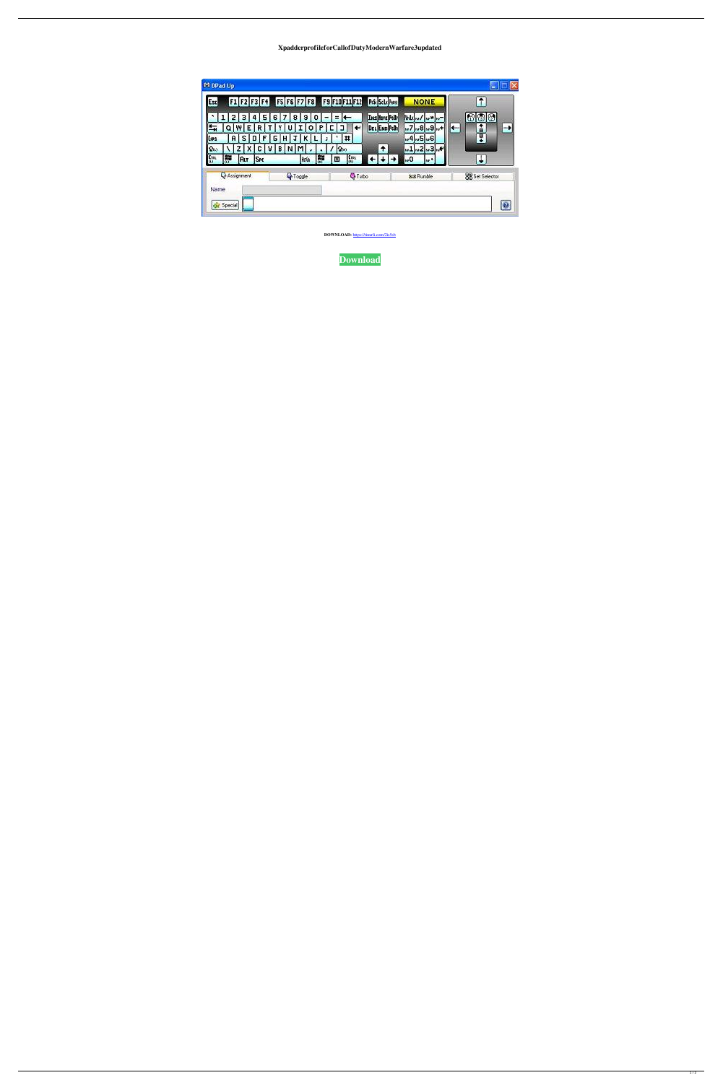XpadderprofileforCallofDutyModernWarfare3updated

|                                                                                                                                                                                                                                                                            | 图图<br>63<br>â<br>l ter<br>Ţ | mbod wx m-<br><b>Instructed</b><br>DEL END PEDI<br>$\sqrt{7}$<br>$+$ $\frac{1}{2}$ $\frac{1}{2}$ $\frac{1}{2}$ $\frac{1}{2}$<br>$-4 - 5 - 6$ | Ξ.<br>$\left  \leftarrow \right $<br>$\leftarrow$<br>$\pmb{\sharp}$<br>J. | $\mathbf{9}$<br>$\bf{0}$<br>P<br>o<br>κ | 7<br>81<br>u<br>т<br>н | 6<br>٧<br>G. | 5 <sub>1</sub><br>4<br>R<br>$\mathbf{D}$<br>F | 3.<br>W<br>E.<br>S. | $\mathbf{Z}$<br>$\alpha$<br>$\mathbf{R}$ | ٦.<br>$\mathbb{H}_{\mathbb{H}}$<br>Lus |
|----------------------------------------------------------------------------------------------------------------------------------------------------------------------------------------------------------------------------------------------------------------------------|-----------------------------|----------------------------------------------------------------------------------------------------------------------------------------------|---------------------------------------------------------------------------|-----------------------------------------|------------------------|--------------|-----------------------------------------------|---------------------|------------------------------------------|----------------------------------------|
| $\uparrow$<br>Iм<br><b>MR</b><br>m2<br>$\mathbf{\hat{w}}_0$<br>c<br>₿<br>ν<br>N<br>$-1$<br>е.<br>Сп<br>F<br>r<br>ļ0ч<br><b>Sec</b><br>E<br><b>ALT</b><br><b>Roke</b><br>$\leftarrow$<br>ь0<br><b>State</b><br><b>Q</b> Assignment<br><sup>Q</sup> Toggle<br><b>Q</b> Turbo | J<br><b>SS</b> Set Selector | $-3w+$                                                                                                                                       |                                                                           |                                         |                        |              |                                               |                     |                                          |                                        |

DOWNLOAD: https://tinurli.com/2is5sb